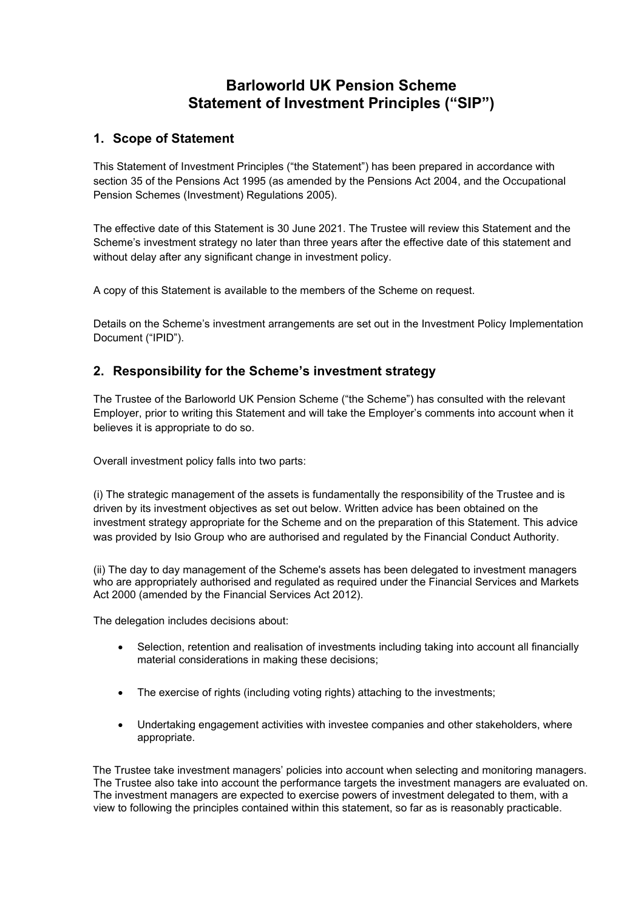# **Barloworld UK Pension Scheme Statement of Investment Principles ("SIP")**

## **1. Scope of Statement**

This Statement of Investment Principles ("the Statement") has been prepared in accordance with section 35 of the Pensions Act 1995 (as amended by the Pensions Act 2004, and the Occupational Pension Schemes (Investment) Regulations 2005).

The effective date of this Statement is 30 June 2021. The Trustee will review this Statement and the Scheme's investment strategy no later than three years after the effective date of this statement and without delay after any significant change in investment policy.

A copy of this Statement is available to the members of the Scheme on request.

Details on the Scheme's investment arrangements are set out in the Investment Policy Implementation Document ("IPID").

## **2. Responsibility for the Scheme's investment strategy**

The Trustee of the Barloworld UK Pension Scheme ("the Scheme") has consulted with the relevant Employer, prior to writing this Statement and will take the Employer's comments into account when it believes it is appropriate to do so.

Overall investment policy falls into two parts:

(i) The strategic management of the assets is fundamentally the responsibility of the Trustee and is driven by its investment objectives as set out below. Written advice has been obtained on the investment strategy appropriate for the Scheme and on the preparation of this Statement. This advice was provided by Isio Group who are authorised and regulated by the Financial Conduct Authority.

(ii) The day to day management of the Scheme's assets has been delegated to investment managers who are appropriately authorised and regulated as required under the Financial Services and Markets Act 2000 (amended by the Financial Services Act 2012).

The delegation includes decisions about:

- Selection, retention and realisation of investments including taking into account all financially material considerations in making these decisions;
- The exercise of rights (including voting rights) attaching to the investments;
- Undertaking engagement activities with investee companies and other stakeholders, where appropriate.

The Trustee take investment managers' policies into account when selecting and monitoring managers. The Trustee also take into account the performance targets the investment managers are evaluated on. The investment managers are expected to exercise powers of investment delegated to them, with a view to following the principles contained within this statement, so far as is reasonably practicable.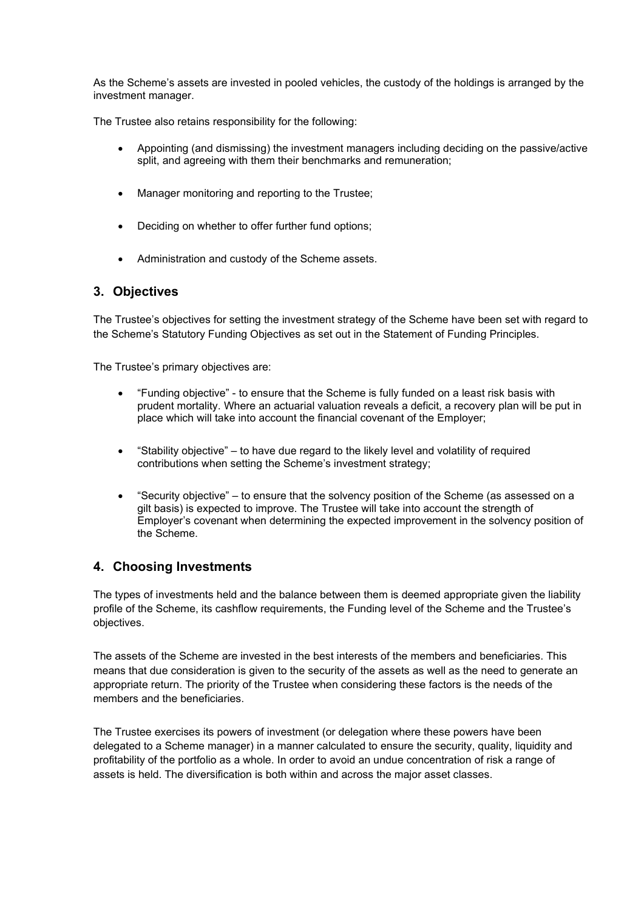As the Scheme's assets are invested in pooled vehicles, the custody of the holdings is arranged by the investment manager.

The Trustee also retains responsibility for the following:

- Appointing (and dismissing) the investment managers including deciding on the passive/active split, and agreeing with them their benchmarks and remuneration;
- Manager monitoring and reporting to the Trustee;
- Deciding on whether to offer further fund options;
- Administration and custody of the Scheme assets.

## **3. Objectives**

The Trustee's objectives for setting the investment strategy of the Scheme have been set with regard to the Scheme's Statutory Funding Objectives as set out in the Statement of Funding Principles.

The Trustee's primary objectives are:

- "Funding objective" to ensure that the Scheme is fully funded on a least risk basis with prudent mortality. Where an actuarial valuation reveals a deficit, a recovery plan will be put in place which will take into account the financial covenant of the Employer;
- "Stability objective" to have due regard to the likely level and volatility of required contributions when setting the Scheme's investment strategy;
- "Security objective" to ensure that the solvency position of the Scheme (as assessed on a gilt basis) is expected to improve. The Trustee will take into account the strength of Employer's covenant when determining the expected improvement in the solvency position of the Scheme.

## **4. Choosing Investments**

The types of investments held and the balance between them is deemed appropriate given the liability profile of the Scheme, its cashflow requirements, the Funding level of the Scheme and the Trustee's objectives.

The assets of the Scheme are invested in the best interests of the members and beneficiaries. This means that due consideration is given to the security of the assets as well as the need to generate an appropriate return. The priority of the Trustee when considering these factors is the needs of the members and the beneficiaries.

The Trustee exercises its powers of investment (or delegation where these powers have been delegated to a Scheme manager) in a manner calculated to ensure the security, quality, liquidity and profitability of the portfolio as a whole. In order to avoid an undue concentration of risk a range of assets is held. The diversification is both within and across the major asset classes.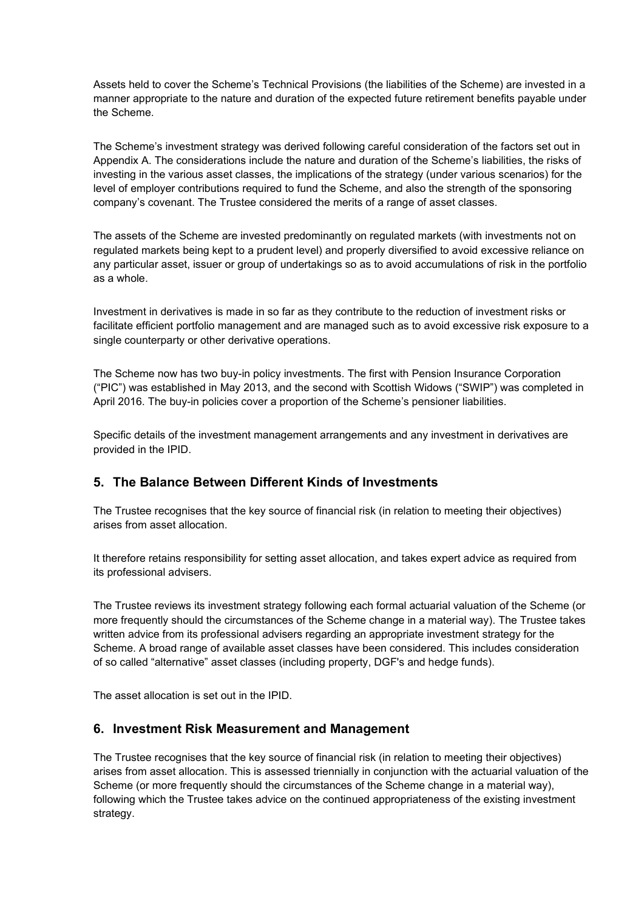Assets held to cover the Scheme's Technical Provisions (the liabilities of the Scheme) are invested in a manner appropriate to the nature and duration of the expected future retirement benefits payable under the Scheme.

The Scheme's investment strategy was derived following careful consideration of the factors set out in Appendix A. The considerations include the nature and duration of the Scheme's liabilities, the risks of investing in the various asset classes, the implications of the strategy (under various scenarios) for the level of employer contributions required to fund the Scheme, and also the strength of the sponsoring company's covenant. The Trustee considered the merits of a range of asset classes.

The assets of the Scheme are invested predominantly on regulated markets (with investments not on regulated markets being kept to a prudent level) and properly diversified to avoid excessive reliance on any particular asset, issuer or group of undertakings so as to avoid accumulations of risk in the portfolio as a whole.

Investment in derivatives is made in so far as they contribute to the reduction of investment risks or facilitate efficient portfolio management and are managed such as to avoid excessive risk exposure to a single counterparty or other derivative operations.

The Scheme now has two buy-in policy investments. The first with Pension Insurance Corporation ("PIC") was established in May 2013, and the second with Scottish Widows ("SWIP") was completed in April 2016. The buy-in policies cover a proportion of the Scheme's pensioner liabilities.

Specific details of the investment management arrangements and any investment in derivatives are provided in the IPID.

#### **5. The Balance Between Different Kinds of Investments**

The Trustee recognises that the key source of financial risk (in relation to meeting their objectives) arises from asset allocation.

It therefore retains responsibility for setting asset allocation, and takes expert advice as required from its professional advisers.

The Trustee reviews its investment strategy following each formal actuarial valuation of the Scheme (or more frequently should the circumstances of the Scheme change in a material way). The Trustee takes written advice from its professional advisers regarding an appropriate investment strategy for the Scheme. A broad range of available asset classes have been considered. This includes consideration of so called "alternative" asset classes (including property, DGF's and hedge funds).

The asset allocation is set out in the IPID.

#### **6. Investment Risk Measurement and Management**

The Trustee recognises that the key source of financial risk (in relation to meeting their objectives) arises from asset allocation. This is assessed triennially in conjunction with the actuarial valuation of the Scheme (or more frequently should the circumstances of the Scheme change in a material way), following which the Trustee takes advice on the continued appropriateness of the existing investment strategy.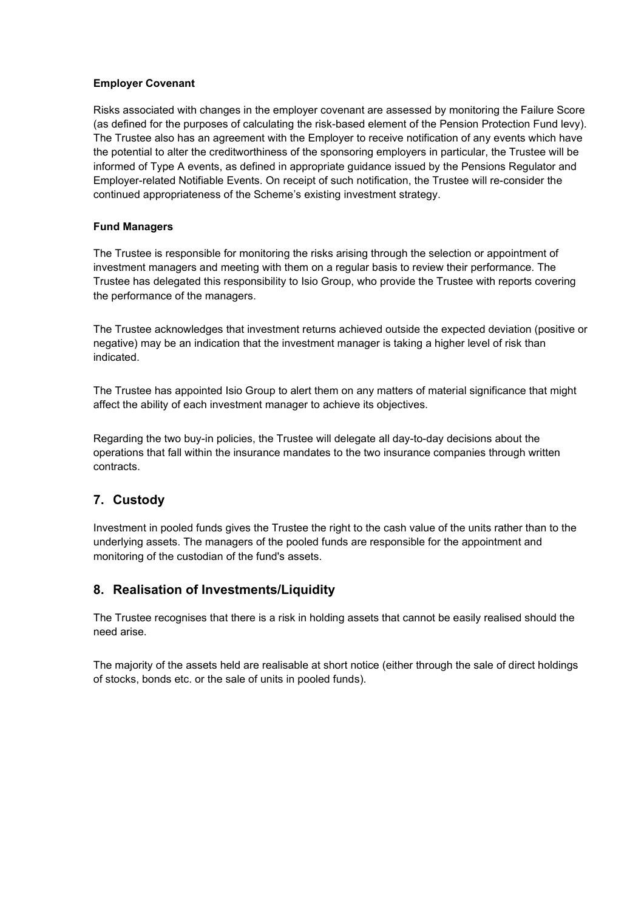#### **Employer Covenant**

Risks associated with changes in the employer covenant are assessed by monitoring the Failure Score (as defined for the purposes of calculating the risk-based element of the Pension Protection Fund levy). The Trustee also has an agreement with the Employer to receive notification of any events which have the potential to alter the creditworthiness of the sponsoring employers in particular, the Trustee will be informed of Type A events, as defined in appropriate guidance issued by the Pensions Regulator and Employer-related Notifiable Events. On receipt of such notification, the Trustee will re-consider the continued appropriateness of the Scheme's existing investment strategy.

#### **Fund Managers**

The Trustee is responsible for monitoring the risks arising through the selection or appointment of investment managers and meeting with them on a regular basis to review their performance. The Trustee has delegated this responsibility to Isio Group, who provide the Trustee with reports covering the performance of the managers.

The Trustee acknowledges that investment returns achieved outside the expected deviation (positive or negative) may be an indication that the investment manager is taking a higher level of risk than indicated.

The Trustee has appointed Isio Group to alert them on any matters of material significance that might affect the ability of each investment manager to achieve its objectives.

Regarding the two buy-in policies, the Trustee will delegate all day-to-day decisions about the operations that fall within the insurance mandates to the two insurance companies through written contracts.

# **7. Custody**

Investment in pooled funds gives the Trustee the right to the cash value of the units rather than to the underlying assets. The managers of the pooled funds are responsible for the appointment and monitoring of the custodian of the fund's assets.

## **8. Realisation of Investments/Liquidity**

The Trustee recognises that there is a risk in holding assets that cannot be easily realised should the need arise.

The majority of the assets held are realisable at short notice (either through the sale of direct holdings of stocks, bonds etc. or the sale of units in pooled funds).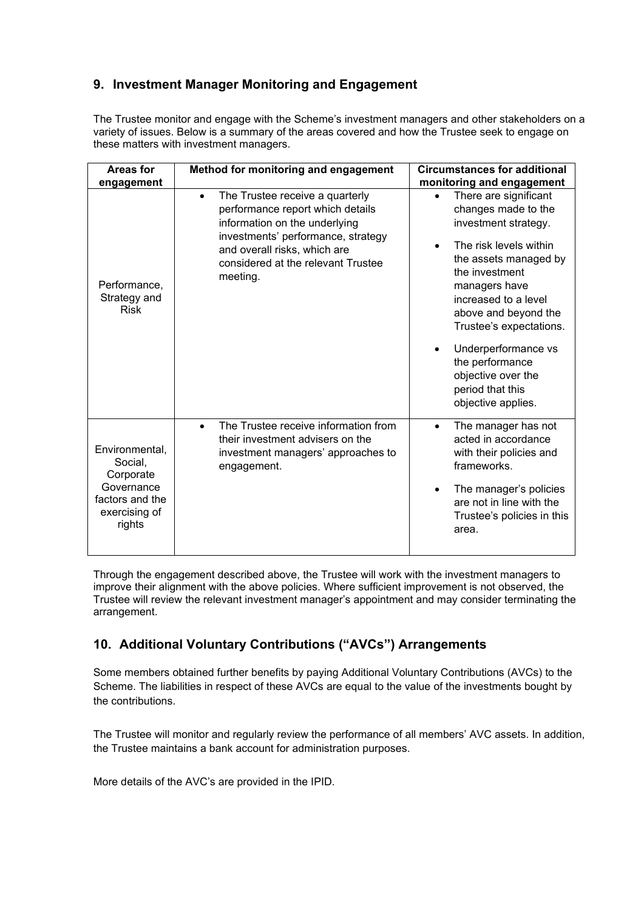## **9. Investment Manager Monitoring and Engagement**

The Trustee monitor and engage with the Scheme's investment managers and other stakeholders on a variety of issues. Below is a summary of the areas covered and how the Trustee seek to engage on these matters with investment managers.

| <b>Areas for</b><br>engagement                                                                     | Method for monitoring and engagement                                                                                                                                                                                                      | <b>Circumstances for additional</b><br>monitoring and engagement                                                                                                                                                                                                                                                                                                          |
|----------------------------------------------------------------------------------------------------|-------------------------------------------------------------------------------------------------------------------------------------------------------------------------------------------------------------------------------------------|---------------------------------------------------------------------------------------------------------------------------------------------------------------------------------------------------------------------------------------------------------------------------------------------------------------------------------------------------------------------------|
| Performance,<br>Strategy and<br><b>Risk</b>                                                        | The Trustee receive a quarterly<br>$\bullet$<br>performance report which details<br>information on the underlying<br>investments' performance, strategy<br>and overall risks, which are<br>considered at the relevant Trustee<br>meeting. | There are significant<br>$\bullet$<br>changes made to the<br>investment strategy.<br>The risk levels within<br>$\bullet$<br>the assets managed by<br>the investment<br>managers have<br>increased to a level<br>above and beyond the<br>Trustee's expectations.<br>Underperformance vs<br>the performance<br>objective over the<br>period that this<br>objective applies. |
| Environmental,<br>Social,<br>Corporate<br>Governance<br>factors and the<br>exercising of<br>rights | The Trustee receive information from<br>$\bullet$<br>their investment advisers on the<br>investment managers' approaches to<br>engagement.                                                                                                | The manager has not<br>$\bullet$<br>acted in accordance<br>with their policies and<br>frameworks.                                                                                                                                                                                                                                                                         |
|                                                                                                    |                                                                                                                                                                                                                                           | The manager's policies<br>٠<br>are not in line with the<br>Trustee's policies in this<br>area.                                                                                                                                                                                                                                                                            |

Through the engagement described above, the Trustee will work with the investment managers to improve their alignment with the above policies. Where sufficient improvement is not observed, the Trustee will review the relevant investment manager's appointment and may consider terminating the arrangement.

# **10. Additional Voluntary Contributions ("AVCs") Arrangements**

Some members obtained further benefits by paying Additional Voluntary Contributions (AVCs) to the Scheme. The liabilities in respect of these AVCs are equal to the value of the investments bought by the contributions.

The Trustee will monitor and regularly review the performance of all members' AVC assets. In addition, the Trustee maintains a bank account for administration purposes.

More details of the AVC's are provided in the IPID.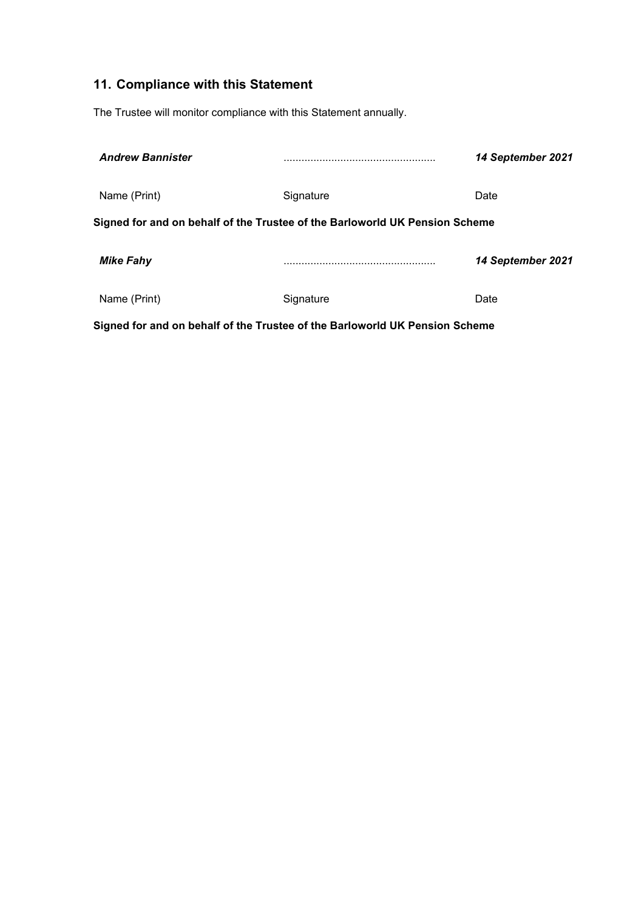# **11. Compliance with this Statement**

The Trustee will monitor compliance with this Statement annually.

| <b>Andrew Bannister</b>                                                     |           | 14 September 2021 |
|-----------------------------------------------------------------------------|-----------|-------------------|
| Name (Print)                                                                | Signature | Date              |
| Signed for and on behalf of the Trustee of the Barloworld UK Pension Scheme |           |                   |
| <b>Mike Fahy</b>                                                            |           | 14 September 2021 |
| Name (Print)                                                                | Signature | Date              |
| Signed for and on behalf of the Trustee of the Barloworld UK Pension Scheme |           |                   |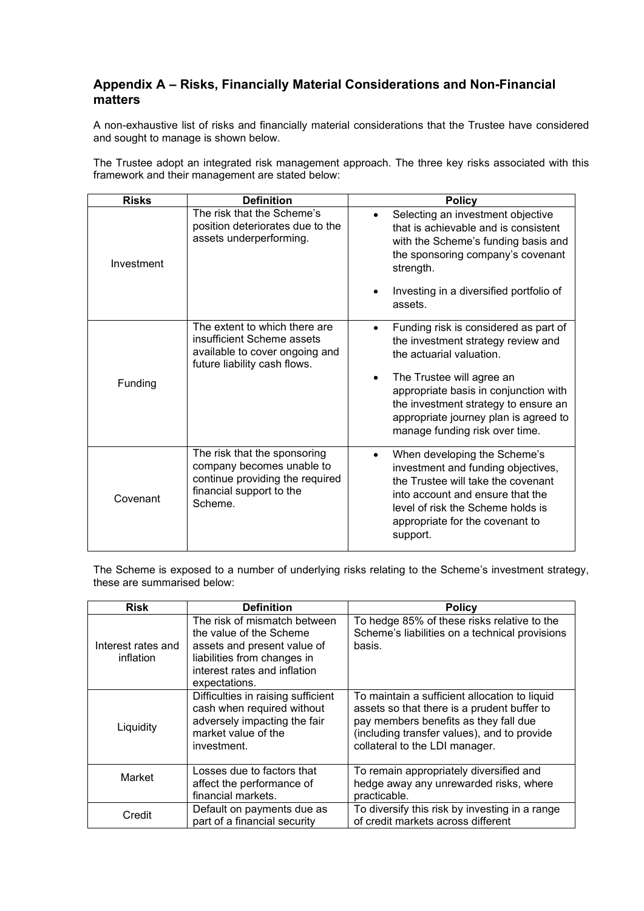## **Appendix A – Risks, Financially Material Considerations and Non-Financial matters**

A non-exhaustive list of risks and financially material considerations that the Trustee have considered and sought to manage is shown below.

The Trustee adopt an integrated risk management approach. The three key risks associated with this framework and their management are stated below:

| <b>Risks</b> | <b>Definition</b>                                                                                                                   | <b>Policy</b>                                                                                                                                                                                                                                 |
|--------------|-------------------------------------------------------------------------------------------------------------------------------------|-----------------------------------------------------------------------------------------------------------------------------------------------------------------------------------------------------------------------------------------------|
| Investment   | The risk that the Scheme's<br>position deteriorates due to the<br>assets underperforming.                                           | Selecting an investment objective<br>$\bullet$<br>that is achievable and is consistent<br>with the Scheme's funding basis and<br>the sponsoring company's covenant<br>strength.                                                               |
|              |                                                                                                                                     | Investing in a diversified portfolio of<br>assets.                                                                                                                                                                                            |
| Funding      | The extent to which there are<br>insufficient Scheme assets<br>available to cover ongoing and<br>future liability cash flows.       | Funding risk is considered as part of<br>$\bullet$<br>the investment strategy review and<br>the actuarial valuation.<br>The Trustee will agree an<br>appropriate basis in conjunction with                                                    |
|              |                                                                                                                                     | the investment strategy to ensure an<br>appropriate journey plan is agreed to<br>manage funding risk over time.                                                                                                                               |
| Covenant     | The risk that the sponsoring<br>company becomes unable to<br>continue providing the required<br>financial support to the<br>Scheme. | When developing the Scheme's<br>$\bullet$<br>investment and funding objectives,<br>the Trustee will take the covenant<br>into account and ensure that the<br>level of risk the Scheme holds is<br>appropriate for the covenant to<br>support. |

The Scheme is exposed to a number of underlying risks relating to the Scheme's investment strategy, these are summarised below:

| <b>Risk</b>                     | <b>Definition</b>                                                                                                                                                      | <b>Policy</b>                                                                                                                                                                                                          |
|---------------------------------|------------------------------------------------------------------------------------------------------------------------------------------------------------------------|------------------------------------------------------------------------------------------------------------------------------------------------------------------------------------------------------------------------|
| Interest rates and<br>inflation | The risk of mismatch between<br>the value of the Scheme<br>assets and present value of<br>liabilities from changes in<br>interest rates and inflation<br>expectations. | To hedge 85% of these risks relative to the<br>Scheme's liabilities on a technical provisions<br>basis.                                                                                                                |
| Liquidity                       | Difficulties in raising sufficient<br>cash when required without<br>adversely impacting the fair<br>market value of the<br>investment.                                 | To maintain a sufficient allocation to liquid<br>assets so that there is a prudent buffer to<br>pay members benefits as they fall due<br>(including transfer values), and to provide<br>collateral to the LDI manager. |
| Market                          | Losses due to factors that<br>affect the performance of<br>financial markets.                                                                                          | To remain appropriately diversified and<br>hedge away any unrewarded risks, where<br>practicable.                                                                                                                      |
| Credit                          | Default on payments due as<br>part of a financial security                                                                                                             | To diversify this risk by investing in a range<br>of credit markets across different                                                                                                                                   |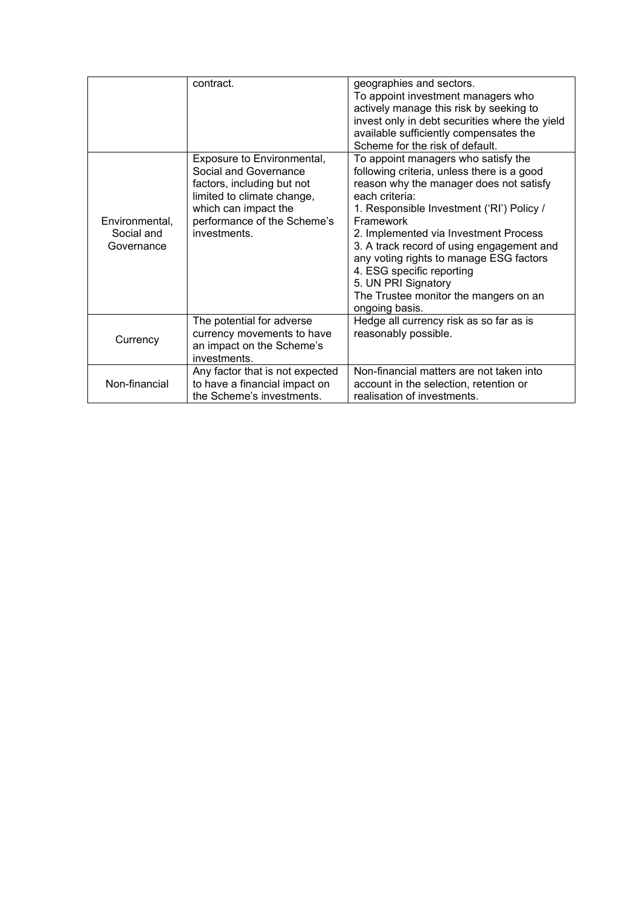|                                            | contract.                                                                                                                                                                              | geographies and sectors.<br>To appoint investment managers who<br>actively manage this risk by seeking to<br>invest only in debt securities where the yield<br>available sufficiently compensates the<br>Scheme for the risk of default.                                                                                                                                                                                                                 |
|--------------------------------------------|----------------------------------------------------------------------------------------------------------------------------------------------------------------------------------------|----------------------------------------------------------------------------------------------------------------------------------------------------------------------------------------------------------------------------------------------------------------------------------------------------------------------------------------------------------------------------------------------------------------------------------------------------------|
| Environmental,<br>Social and<br>Governance | Exposure to Environmental,<br>Social and Governance<br>factors, including but not<br>limited to climate change,<br>which can impact the<br>performance of the Scheme's<br>investments. | To appoint managers who satisfy the<br>following criteria, unless there is a good<br>reason why the manager does not satisfy<br>each criteria:<br>1. Responsible Investment ('RI') Policy /<br>Framework<br>2. Implemented via Investment Process<br>3. A track record of using engagement and<br>any voting rights to manage ESG factors<br>4. ESG specific reporting<br>5. UN PRI Signatory<br>The Trustee monitor the mangers on an<br>ongoing basis. |
| Currency                                   | The potential for adverse<br>currency movements to have<br>an impact on the Scheme's<br>investments.                                                                                   | Hedge all currency risk as so far as is<br>reasonably possible.                                                                                                                                                                                                                                                                                                                                                                                          |
| Non-financial                              | Any factor that is not expected<br>to have a financial impact on<br>the Scheme's investments.                                                                                          | Non-financial matters are not taken into<br>account in the selection, retention or<br>realisation of investments.                                                                                                                                                                                                                                                                                                                                        |